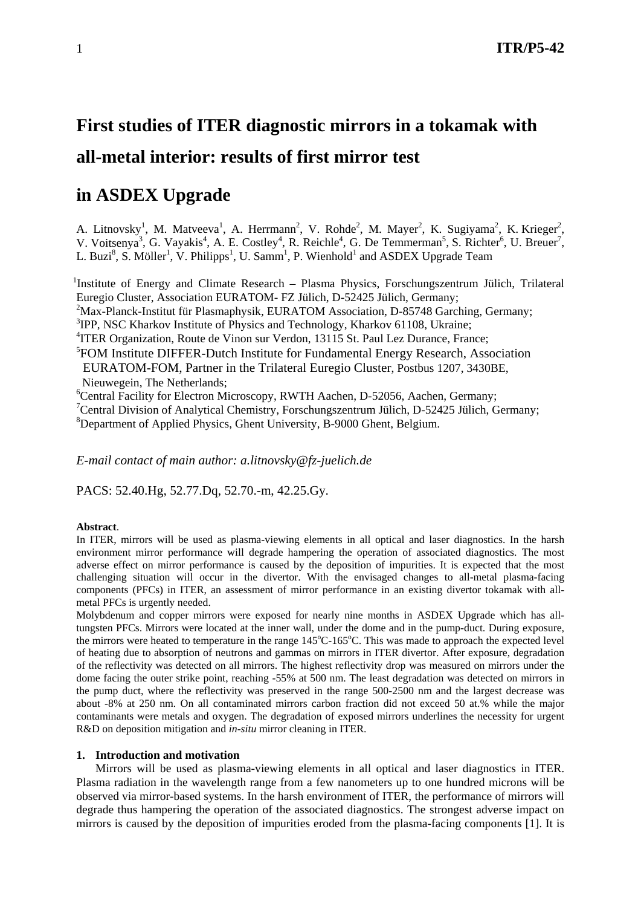# **First studies of ITER diagnostic mirrors in a tokamak with all-metal interior: results of first mirror test**

# **in ASDEX Upgrade**

A. Litnovsky<sup>1</sup>, M. Matveeva<sup>1</sup>, A. Herrmann<sup>2</sup>, V. Rohde<sup>2</sup>, M. Mayer<sup>2</sup>, K. Sugiyama<sup>2</sup>, K. Krieger<sup>2</sup>, V. Voitsenya<sup>3</sup>, G. Vayakis<sup>4</sup>, A. E. Costley<sup>4</sup>, R. Reichle<sup>4</sup>, G. De Temmerman<sup>5</sup>, S. Richter<sup>6</sup>, U. Breuer<sup>7</sup>, L. Buzi<sup>8</sup>, S. Möller<sup>1</sup>, V. Philipps<sup>1</sup>, U. Samm<sup>1</sup>, P. Wienhold<sup>1</sup> and ASDEX Upgrade Team

<sup>1</sup>Institute of Energy and Climate Research - Plasma Physics, Forschungszentrum Jülich, Trilateral Euregio Cluster, Association EURATOM- FZ Jülich, D-52425 Jülich, Germany;

<sup>2</sup>Max-Planck-Institut für Plasmaphysik, EURATOM Association, D-85748 Garching, Germany;

<sup>3</sup>IPP, NSC Kharkov Institute of Physics and Technology, Kharkov 61108, Ukraine;

<sup>4</sup>ITER Organization, Route de Vinon sur Verdon, 13115 St. Paul Lez Durance, France;

5 FOM Institute DIFFER-Dutch Institute for Fundamental Energy Research, Association EURATOM-FOM, Partner in the Trilateral Euregio Cluster, Postbus 1207, 3430BE, Nieuwegein, The Netherlands;

6 Central Facility for Electron Microscopy, RWTH Aachen, D-52056, Aachen, Germany;

<sup>7</sup> Central Division of Analytical Chemistry, Forschungszentrum Jülich, D-52425 Jülich, Germany; 8 Department of Applied Physics, Ghent University, B-9000 Ghent, Belgium.

*E-mail contact of main author: a.litnovsky@fz-juelich.de* 

PACS: 52.40.Hg, 52.77.Dq, 52.70.-m, 42.25.Gy.

# **Abstract**.

In ITER, mirrors will be used as plasma-viewing elements in all optical and laser diagnostics. In the harsh environment mirror performance will degrade hampering the operation of associated diagnostics. The most adverse effect on mirror performance is caused by the deposition of impurities. It is expected that the most challenging situation will occur in the divertor. With the envisaged changes to all-metal plasma-facing components (PFCs) in ITER, an assessment of mirror performance in an existing divertor tokamak with allmetal PFCs is urgently needed.

Molybdenum and copper mirrors were exposed for nearly nine months in ASDEX Upgrade which has alltungsten PFCs. Mirrors were located at the inner wall, under the dome and in the pump-duct. During exposure, the mirrors were heated to temperature in the range 145°C-165°C. This was made to approach the expected level of heating due to absorption of neutrons and gammas on mirrors in ITER divertor. After exposure, degradation of the reflectivity was detected on all mirrors. The highest reflectivity drop was measured on mirrors under the dome facing the outer strike point, reaching -55% at 500 nm. The least degradation was detected on mirrors in the pump duct, where the reflectivity was preserved in the range 500-2500 nm and the largest decrease was about -8% at 250 nm. On all contaminated mirrors carbon fraction did not exceed 50 at.% while the major contaminants were metals and oxygen. The degradation of exposed mirrors underlines the necessity for urgent R&D on deposition mitigation and *in-situ* mirror cleaning in ITER.

# **1. Introduction and motivation**

Mirrors will be used as plasma-viewing elements in all optical and laser diagnostics in ITER. Plasma radiation in the wavelength range from a few nanometers up to one hundred microns will be observed via mirror-based systems. In the harsh environment of ITER, the performance of mirrors will degrade thus hampering the operation of the associated diagnostics. The strongest adverse impact on mirrors is caused by the deposition of impurities eroded from the plasma-facing components [1]. It is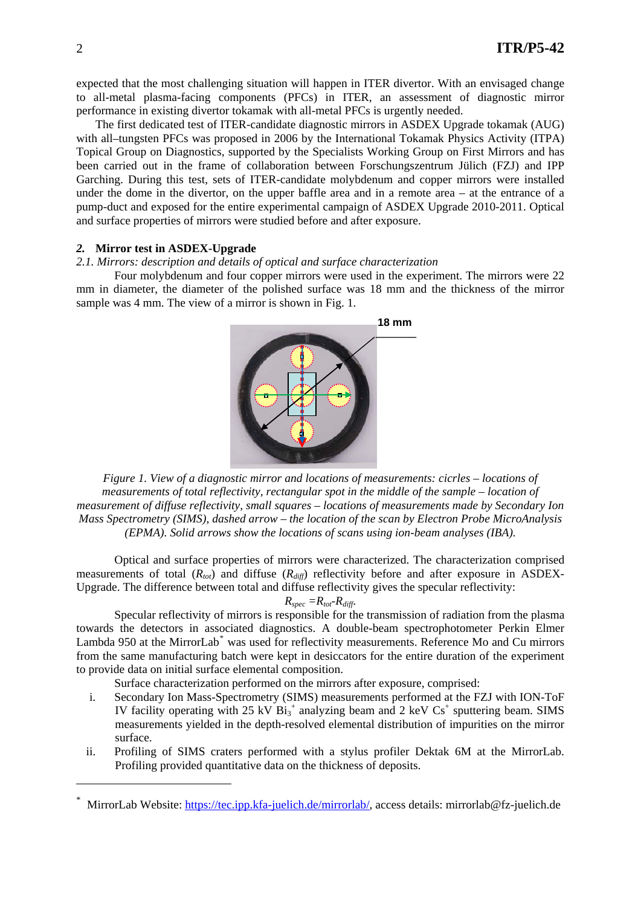expected that the most challenging situation will happen in ITER divertor. With an envisaged change to all-metal plasma-facing components (PFCs) in ITER, an assessment of diagnostic mirror performance in existing divertor tokamak with all-metal PFCs is urgently needed.

The first dedicated test of ITER-candidate diagnostic mirrors in ASDEX Upgrade tokamak (AUG) with all–tungsten PFCs was proposed in 2006 by the International Tokamak Physics Activity (ITPA) Topical Group on Diagnostics, supported by the Specialists Working Group on First Mirrors and has been carried out in the frame of collaboration between Forschungszentrum Jülich (FZJ) and IPP Garching. During this test, sets of ITER-candidate molybdenum and copper mirrors were installed under the dome in the divertor, on the upper baffle area and in a remote area – at the entrance of a pump-duct and exposed for the entire experimental campaign of ASDEX Upgrade 2010-2011. Optical and surface properties of mirrors were studied before and after exposure.

# *2.* **Mirror test in ASDEX-Upgrade**

#### *2.1. Mirrors: description and details of optical and surface characterization*

Four molybdenum and four copper mirrors were used in the experiment. The mirrors were 22 mm in diameter, the diameter of the polished surface was 18 mm and the thickness of the mirror sample was 4 mm. The view of a mirror is shown in Fig. 1.



*Figure 1. View of a diagnostic mirror and locations of measurements: cicrles – locations of measurements of total reflectivity, rectangular spot in the middle of the sample – location of measurement of diffuse reflectivity, small squares – locations of measurements made by Secondary Ion Mass Spectrometry (SIMS), dashed arrow – the location of the scan by Electron Probe MicroAnalysis (EPMA). Solid arrows show the locations of scans using ion-beam analyses (IBA).* 

Optical and surface properties of mirrors were characterized. The characterization comprised measurements of total  $(R_{tot})$  and diffuse  $(R_{diff})$  reflectivity before and after exposure in ASDEX-Upgrade. The difference between total and diffuse reflectivity gives the specular reflectivity:

$$
R_{spec} = R_{tot} - R_{diff}.
$$

Specular reflectivity of mirrors is responsible for the transmission of radiation from the plasma towards the detectors in associated diagnostics. A double-beam spectrophotometer Perkin Elmer Lambda 950 at the MirrorLab<sup>[\\*](#page-1-0)</sup> was used for reflectivity measurements. Reference Mo and Cu mirrors from the same manufacturing batch were kept in desiccators for the entire duration of the experiment to provide data on initial surface elemental composition.

Surface characterization performed on the mirrors after exposure, comprised:

- i. Secondary Ion Mass-Spectrometry (SIMS) measurements performed at the FZJ with ION-ToF IV facility operating with 25 kV  $Bi_3^+$  analyzing beam and 2 keV  $Cs^+$  sputtering beam. SIMS measurements yielded in the depth-resolved elemental distribution of impurities on the mirror surface.
- ii. Profiling of SIMS craters performed with a stylus profiler Dektak 6M at the MirrorLab. Profiling provided quantitative data on the thickness of deposits.

1

<span id="page-1-0"></span>MirrorLab Website: <https://tec.ipp.kfa-juelich.de/mirrorlab/>, access details: mirrorlab@fz-juelich.de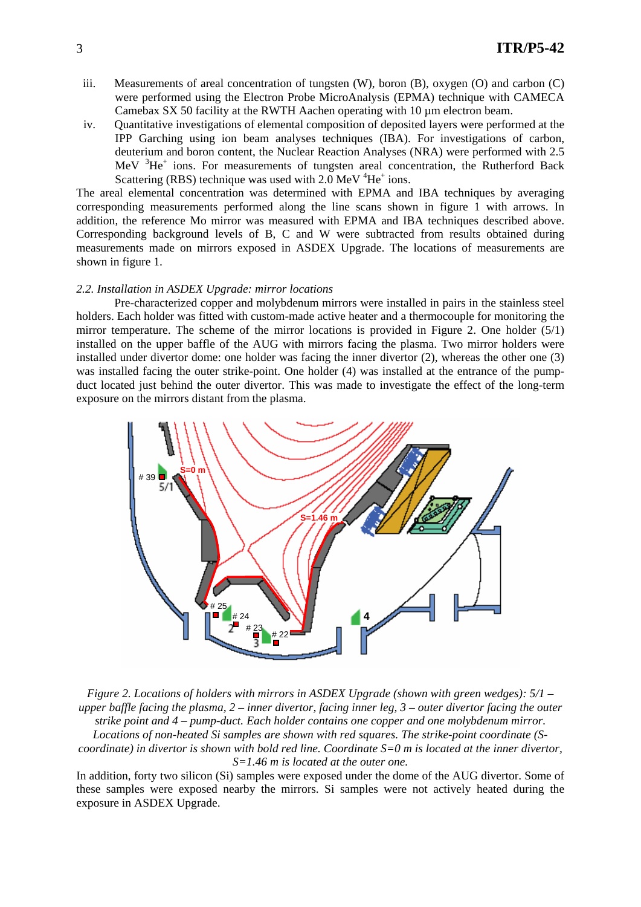- iii. Measurements of areal concentration of tungsten (W), boron (B), oxygen (O) and carbon (C) were performed using the Electron Probe MicroAnalysis (EPMA) technique with CAMECA Camebax SX 50 facility at the RWTH Aachen operating with 10 µm electron beam.
- iv. Quantitative investigations of elemental composition of deposited layers were performed at the IPP Garching using ion beam analyses techniques (IBA). For investigations of carbon, deuterium and boron content, the Nuclear Reaction Analyses (NRA) were performed with 2.5 MeV <sup>3</sup>He<sup>+</sup> ions. For measurements of tungsten areal concentration, the Rutherford Back Scattering (RBS) technique was used with  $2.0 \text{ MeV}^4\text{He}^+$  ions.

The areal elemental concentration was determined with EPMA and IBA techniques by averaging corresponding measurements performed along the line scans shown in figure 1 with arrows. In addition, the reference Mo mirror was measured with EPMA and IBA techniques described above. Corresponding background levels of B, C and W were subtracted from results obtained during measurements made on mirrors exposed in ASDEX Upgrade. The locations of measurements are shown in figure 1.

#### *2.2. Installation in ASDEX Upgrade: mirror locations*

Pre-characterized copper and molybdenum mirrors were installed in pairs in the stainless steel holders. Each holder was fitted with custom-made active heater and a thermocouple for monitoring the mirror temperature. The scheme of the mirror locations is provided in Figure 2. One holder (5/1) installed on the upper baffle of the AUG with mirrors facing the plasma. Two mirror holders were installed under divertor dome: one holder was facing the inner divertor (2), whereas the other one (3) was installed facing the outer strike-point. One holder (4) was installed at the entrance of the pumpduct located just behind the outer divertor. This was made to investigate the effect of the long-term exposure on the mirrors distant from the plasma.



*Figure 2. Locations of holders with mirrors in ASDEX Upgrade (shown with green wedges): 5/1 – upper baffle facing the plasma, 2 – inner divertor, facing inner leg, 3 – outer divertor facing the outer strike point and 4 – pump-duct. Each holder contains one copper and one molybdenum mirror. Locations of non-heated Si samples are shown with red squares. The strike-point coordinate (Scoordinate) in divertor is shown with bold red line. Coordinate S=0 m is located at the inner divertor, S=1.46 m is located at the outer one.* 

In addition, forty two silicon (Si) samples were exposed under the dome of the AUG divertor. Some of these samples were exposed nearby the mirrors. Si samples were not actively heated during the exposure in ASDEX Upgrade.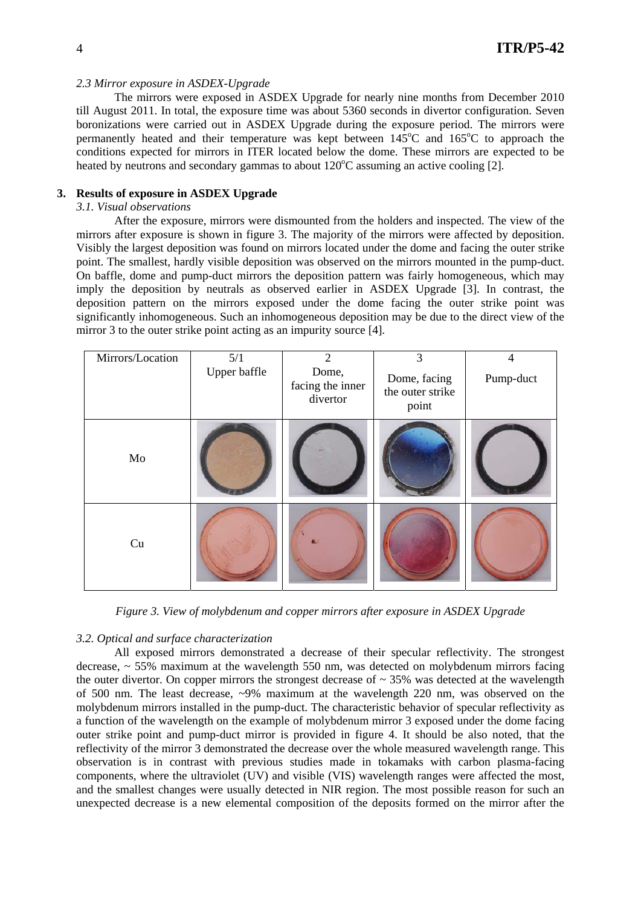#### *2.3 Mirror exposure in ASDEX-Upgrade*

The mirrors were exposed in ASDEX Upgrade for nearly nine months from December 2010 till August 2011. In total, the exposure time was about 5360 seconds in divertor configuration. Seven boronizations were carried out in ASDEX Upgrade during the exposure period. The mirrors were permanently heated and their temperature was kept between  $145^{\circ}$ C and  $165^{\circ}$ C to approach the conditions expected for mirrors in ITER located below the dome. These mirrors are expected to be heated by neutrons and secondary gammas to about  $120^{\circ}$ C assuming an active cooling [2].

# **3. Results of exposure in ASDEX Upgrade**

# *3.1. Visual observations*

After the exposure, mirrors were dismounted from the holders and inspected. The view of the mirrors after exposure is shown in figure 3. The majority of the mirrors were affected by deposition. Visibly the largest deposition was found on mirrors located under the dome and facing the outer strike point. The smallest, hardly visible deposition was observed on the mirrors mounted in the pump-duct. On baffle, dome and pump-duct mirrors the deposition pattern was fairly homogeneous, which may imply the deposition by neutrals as observed earlier in ASDEX Upgrade [3]. In contrast, the deposition pattern on the mirrors exposed under the dome facing the outer strike point was significantly inhomogeneous. Such an inhomogeneous deposition may be due to the direct view of the mirror 3 to the outer strike point acting as an impurity source [4].

| Mirrors/Location | 5/1          | $\overline{2}$                        | 3                                         | $\overline{4}$ |
|------------------|--------------|---------------------------------------|-------------------------------------------|----------------|
|                  | Upper baffle | Dome,<br>facing the inner<br>divertor | Dome, facing<br>the outer strike<br>point | Pump-duct      |
| Mo               |              |                                       |                                           |                |
| Cu               |              |                                       |                                           |                |

*Figure 3. View of molybdenum and copper mirrors after exposure in ASDEX Upgrade* 

#### *3.2. Optical and surface characterization*

All exposed mirrors demonstrated a decrease of their specular reflectivity. The strongest decrease, ~ 55% maximum at the wavelength 550 nm, was detected on molybdenum mirrors facing the outer divertor. On copper mirrors the strongest decrease of  $\sim$  35% was detected at the wavelength of 500 nm. The least decrease, ~9% maximum at the wavelength 220 nm, was observed on the molybdenum mirrors installed in the pump-duct. The characteristic behavior of specular reflectivity as a function of the wavelength on the example of molybdenum mirror 3 exposed under the dome facing outer strike point and pump-duct mirror is provided in figure 4. It should be also noted, that the reflectivity of the mirror 3 demonstrated the decrease over the whole measured wavelength range. This observation is in contrast with previous studies made in tokamaks with carbon plasma-facing components, where the ultraviolet (UV) and visible (VIS) wavelength ranges were affected the most, and the smallest changes were usually detected in NIR region. The most possible reason for such an unexpected decrease is a new elemental composition of the deposits formed on the mirror after the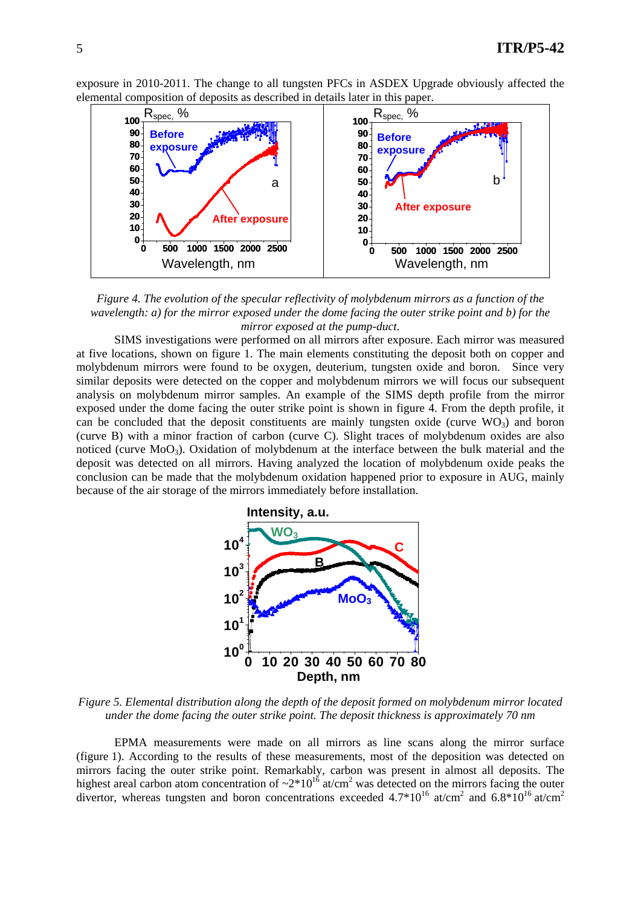exposure in 2010-2011. The change to all tungsten PFCs in ASDEX Upgrade obviously affected the elemental composition of deposits as described in details later in this paper.



*Figure 4. The evolution of the specular reflectivity of molybdenum mirrors as a function of the wavelength: a) for the mirror exposed under the dome facing the outer strike point and b) for the mirror exposed at the pump-duct.* 

SIMS investigations were performed on all mirrors after exposure. Each mirror was measured at five locations, shown on figure 1. The main elements constituting the deposit both on copper and molybdenum mirrors were found to be oxygen, deuterium, tungsten oxide and boron. Since very similar deposits were detected on the copper and molybdenum mirrors we will focus our subsequent analysis on molybdenum mirror samples. An example of the SIMS depth profile from the mirror exposed under the dome facing the outer strike point is shown in figure 4. From the depth profile, it can be concluded that the deposit constituents are mainly tungsten oxide (curve  $WO_3$ ) and boron (curve B) with a minor fraction of carbon (curve C). Slight traces of molybdenum oxides are also noticed (curve MoO3). Oxidation of molybdenum at the interface between the bulk material and the deposit was detected on all mirrors. Having analyzed the location of molybdenum oxide peaks the conclusion can be made that the molybdenum oxidation happened prior to exposure in AUG, mainly because of the air storage of the mirrors immediately before installation.



*Figure 5. Elemental distribution along the depth of the deposit formed on molybdenum mirror located under the dome facing the outer strike point. The deposit thickness is approximately 70 nm* 

EPMA measurements were made on all mirrors as line scans along the mirror surface (figure 1). According to the results of these measurements, most of the deposition was detected on mirrors facing the outer strike point. Remarkably, carbon was present in almost all deposits. The highest areal carbon atom concentration of  $\sim 2*10^{16}$  at/cm<sup>2</sup> was detected on the mirrors facing the outer divertor, whereas tungsten and boron concentrations exceeded 4.7 $*10^{16}$  at/cm<sup>2</sup> and 6.8 $*10^{16}$  at/cm<sup>2</sup>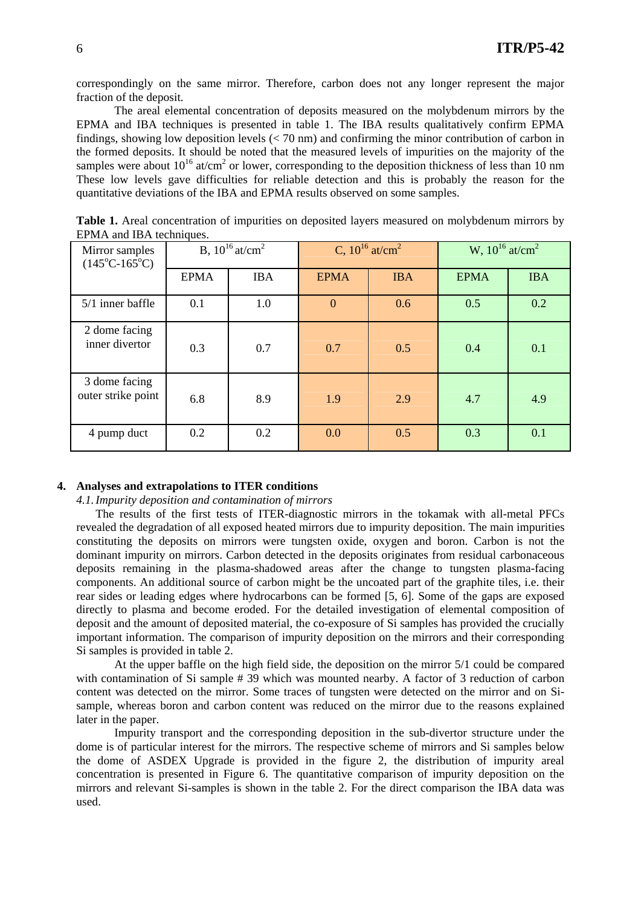correspondingly on the same mirror. Therefore, carbon does not any longer represent the major fraction of the deposit.

The areal elemental concentration of deposits measured on the molybdenum mirrors by the EPMA and IBA techniques is presented in table 1. The IBA results qualitatively confirm EPMA findings, showing low deposition levels  $(< 70 \text{ nm}$ ) and confirming the minor contribution of carbon in the formed deposits. It should be noted that the measured levels of impurities on the majority of the samples were about  $10^{16}$  at/cm<sup>2</sup> or lower, corresponding to the deposition thickness of less than 10 nm These low levels gave difficulties for reliable detection and this is probably the reason for the quantitative deviations of the IBA and EPMA results observed on some samples.

| Mirror samples<br>$(145^{\circ}C - 165^{\circ}C)$ | B, $10^{16}$ at/cm <sup>2</sup> |            | C, $10^{16}$ at/cm <sup>2</sup> |            | W, $10^{16}$ at/cm <sup>2</sup> |            |
|---------------------------------------------------|---------------------------------|------------|---------------------------------|------------|---------------------------------|------------|
|                                                   | <b>EPMA</b>                     | <b>IBA</b> | <b>EPMA</b>                     | <b>IBA</b> | <b>EPMA</b>                     | <b>IBA</b> |
| $5/1$ inner baffle                                | 0.1                             | 1.0        | $\mathbf{0}$                    | 0.6        | 0.5                             | 0.2        |
| 2 dome facing<br>inner divertor                   | 0.3                             | 0.7        | 0.7                             | 0.5        | 0.4                             | 0.1        |
| 3 dome facing<br>outer strike point               | 6.8                             | 8.9        | 1.9                             | 2.9        | 4.7                             | 4.9        |
| 4 pump duct                                       | 0.2                             | 0.2        | 0.0                             | 0.5        | 0.3                             | 0.1        |

**Table 1.** Areal concentration of impurities on deposited layers measured on molybdenum mirrors by EPMA and IBA techniques.

#### **4. Analyses and extrapolations to ITER conditions**

*4.1.Impurity deposition and contamination of mirrors* 

The results of the first tests of ITER-diagnostic mirrors in the tokamak with all-metal PFCs revealed the degradation of all exposed heated mirrors due to impurity deposition. The main impurities constituting the deposits on mirrors were tungsten oxide, oxygen and boron. Carbon is not the dominant impurity on mirrors. Carbon detected in the deposits originates from residual carbonaceous deposits remaining in the plasma-shadowed areas after the change to tungsten plasma-facing components. An additional source of carbon might be the uncoated part of the graphite tiles, i.e. their rear sides or leading edges where hydrocarbons can be formed [5, 6]. Some of the gaps are exposed directly to plasma and become eroded. For the detailed investigation of elemental composition of deposit and the amount of deposited material, the co-exposure of Si samples has provided the crucially important information. The comparison of impurity deposition on the mirrors and their corresponding Si samples is provided in table 2.

At the upper baffle on the high field side, the deposition on the mirror 5/1 could be compared with contamination of Si sample # 39 which was mounted nearby. A factor of 3 reduction of carbon content was detected on the mirror. Some traces of tungsten were detected on the mirror and on Sisample, whereas boron and carbon content was reduced on the mirror due to the reasons explained later in the paper.

Impurity transport and the corresponding deposition in the sub-divertor structure under the dome is of particular interest for the mirrors. The respective scheme of mirrors and Si samples below the dome of ASDEX Upgrade is provided in the figure 2, the distribution of impurity areal concentration is presented in Figure 6. The quantitative comparison of impurity deposition on the mirrors and relevant Si-samples is shown in the table 2. For the direct comparison the IBA data was used.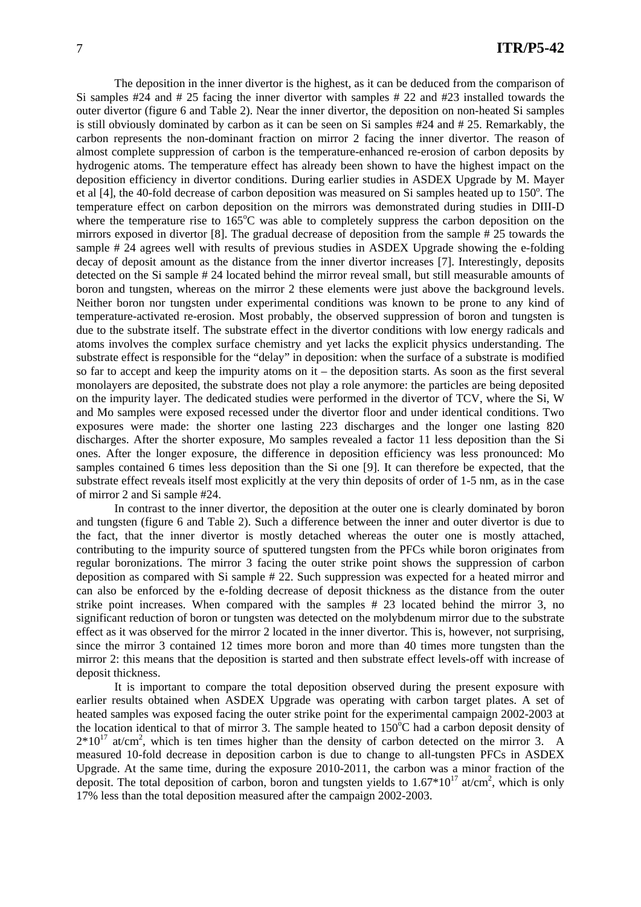The deposition in the inner divertor is the highest, as it can be deduced from the comparison of Si samples #24 and # 25 facing the inner divertor with samples # 22 and #23 installed towards the outer divertor (figure 6 and Table 2). Near the inner divertor, the deposition on non-heated Si samples is still obviously dominated by carbon as it can be seen on Si samples #24 and # 25. Remarkably, the carbon represents the non-dominant fraction on mirror 2 facing the inner divertor. The reason of almost complete suppression of carbon is the temperature-enhanced re-erosion of carbon deposits by hydrogenic atoms. The temperature effect has already been shown to have the highest impact on the deposition efficiency in divertor conditions. During earlier studies in ASDEX Upgrade by M. Mayer et al [4], the 40-fold decrease of carbon deposition was measured on Si samples heated up to 150°. The temperature effect on carbon deposition on the mirrors was demonstrated during studies in DIII-D where the temperature rise to  $165^{\circ}$ C was able to completely suppress the carbon deposition on the mirrors exposed in divertor [8]. The gradual decrease of deposition from the sample # 25 towards the sample # 24 agrees well with results of previous studies in ASDEX Upgrade showing the e-folding decay of deposit amount as the distance from the inner divertor increases [7]. Interestingly, deposits detected on the Si sample # 24 located behind the mirror reveal small, but still measurable amounts of boron and tungsten, whereas on the mirror 2 these elements were just above the background levels. Neither boron nor tungsten under experimental conditions was known to be prone to any kind of temperature-activated re-erosion. Most probably, the observed suppression of boron and tungsten is due to the substrate itself. The substrate effect in the divertor conditions with low energy radicals and atoms involves the complex surface chemistry and yet lacks the explicit physics understanding. The substrate effect is responsible for the "delay" in deposition: when the surface of a substrate is modified so far to accept and keep the impurity atoms on it – the deposition starts. As soon as the first several monolayers are deposited, the substrate does not play a role anymore: the particles are being deposited on the impurity layer. The dedicated studies were performed in the divertor of TCV, where the Si, W and Mo samples were exposed recessed under the divertor floor and under identical conditions. Two exposures were made: the shorter one lasting 223 discharges and the longer one lasting 820 discharges. After the shorter exposure, Mo samples revealed a factor 11 less deposition than the Si ones. After the longer exposure, the difference in deposition efficiency was less pronounced: Mo samples contained 6 times less deposition than the Si one [9]. It can therefore be expected, that the substrate effect reveals itself most explicitly at the very thin deposits of order of 1-5 nm, as in the case of mirror 2 and Si sample #24.

In contrast to the inner divertor, the deposition at the outer one is clearly dominated by boron and tungsten (figure 6 and Table 2). Such a difference between the inner and outer divertor is due to the fact, that the inner divertor is mostly detached whereas the outer one is mostly attached, contributing to the impurity source of sputtered tungsten from the PFCs while boron originates from regular boronizations. The mirror 3 facing the outer strike point shows the suppression of carbon deposition as compared with Si sample # 22. Such suppression was expected for a heated mirror and can also be enforced by the e-folding decrease of deposit thickness as the distance from the outer strike point increases. When compared with the samples # 23 located behind the mirror 3, no significant reduction of boron or tungsten was detected on the molybdenum mirror due to the substrate effect as it was observed for the mirror 2 located in the inner divertor. This is, however, not surprising, since the mirror 3 contained 12 times more boron and more than 40 times more tungsten than the mirror 2: this means that the deposition is started and then substrate effect levels-off with increase of deposit thickness.

It is important to compare the total deposition observed during the present exposure with earlier results obtained when ASDEX Upgrade was operating with carbon target plates. A set of heated samples was exposed facing the outer strike point for the experimental campaign 2002-2003 at the location identical to that of mirror 3. The sample heated to  $150^{\circ}$ C had a carbon deposit density of  $2*10^{17}$  at/cm<sup>2</sup>, which is ten times higher than the density of carbon detected on the mirror 3. A measured 10-fold decrease in deposition carbon is due to change to all-tungsten PFCs in ASDEX Upgrade. At the same time, during the exposure 2010-2011, the carbon was a minor fraction of the deposit. The total deposition of carbon, boron and tungsten yields to  $1.67*10^{17}$  at/cm<sup>2</sup>, which is only 17% less than the total deposition measured after the campaign 2002-2003.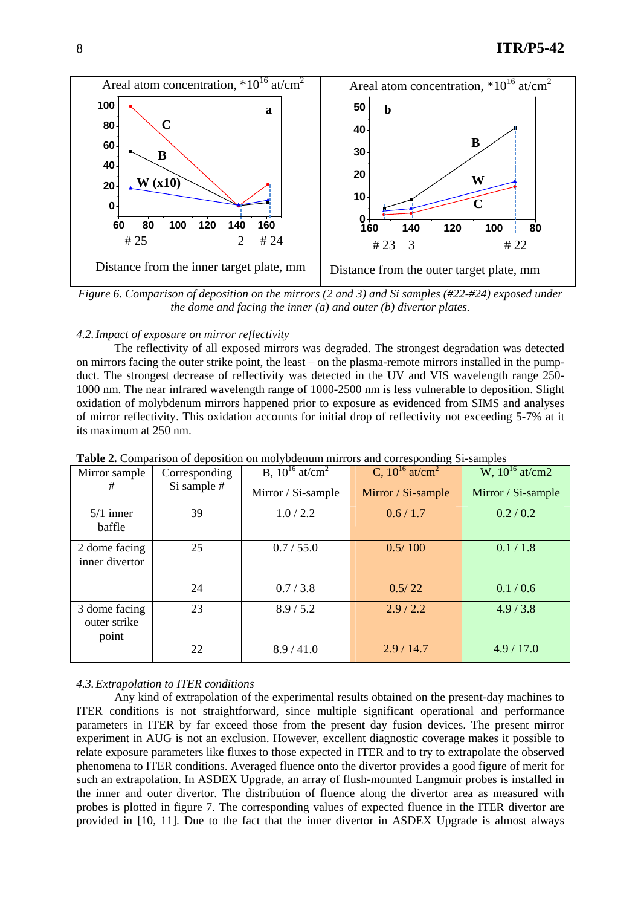

*Figure 6. Comparison of deposition on the mirrors (2 and 3) and Si samples (#22-#24) exposed under the dome and facing the inner (a) and outer (b) divertor plates.* 

# *4.2.Impact of exposure on mirror reflectivity*

The reflectivity of all exposed mirrors was degraded. The strongest degradation was detected on mirrors facing the outer strike point, the least – on the plasma-remote mirrors installed in the pumpduct. The strongest decrease of reflectivity was detected in the UV and VIS wavelength range 250- 1000 nm. The near infrared wavelength range of 1000-2500 nm is less vulnerable to deposition. Slight oxidation of molybdenum mirrors happened prior to exposure as evidenced from SIMS and analyses of mirror reflectivity. This oxidation accounts for initial drop of reflectivity not exceeding 5-7% at it its maximum at 250 nm.

| <b>rapic 2.</b> Comparison or deposition on mory odenum mirrors and corresponding pr-samples |               |                                         |                                 |                     |  |  |
|----------------------------------------------------------------------------------------------|---------------|-----------------------------------------|---------------------------------|---------------------|--|--|
| Mirror sample                                                                                | Corresponding | <b>B</b> , $10^{16}$ at/cm <sup>2</sup> | C, $10^{16}$ at/cm <sup>2</sup> | W, $10^{16}$ at/cm2 |  |  |
| #                                                                                            | Si sample #   | Mirror / Si-sample                      | Mirror / Si-sample              | Mirror / Si-sample  |  |  |
| $5/1$ inner<br>baffle                                                                        | 39            | 1.0 / 2.2                               | 0.6 / 1.7                       | 0.2 / 0.2           |  |  |
| 2 dome facing<br>inner divertor                                                              | 25            | 0.7 / 55.0                              | 0.5/100                         | 0.1 / 1.8           |  |  |
|                                                                                              | 24            | 0.7 / 3.8                               | 0.5/22                          | 0.1 / 0.6           |  |  |
| 3 dome facing<br>outer strike<br>point                                                       | 23            | 8.9 / 5.2                               | 2.9/2.2                         | 4.9/3.8             |  |  |
|                                                                                              | 22            | 8.9/41.0                                | 2.9/14.7                        | 4.9 / 17.0          |  |  |

**Table 2.** Comparison of deposition on molybdenum mirrors and corresponding Si-samples

# *4.3.Extrapolation to ITER conditions*

Any kind of extrapolation of the experimental results obtained on the present-day machines to ITER conditions is not straightforward, since multiple significant operational and performance parameters in ITER by far exceed those from the present day fusion devices. The present mirror experiment in AUG is not an exclusion. However, excellent diagnostic coverage makes it possible to relate exposure parameters like fluxes to those expected in ITER and to try to extrapolate the observed phenomena to ITER conditions. Averaged fluence onto the divertor provides a good figure of merit for such an extrapolation. In ASDEX Upgrade, an array of flush-mounted Langmuir probes is installed in the inner and outer divertor. The distribution of fluence along the divertor area as measured with probes is plotted in figure 7. The corresponding values of expected fluence in the ITER divertor are provided in [10, 11]. Due to the fact that the inner divertor in ASDEX Upgrade is almost always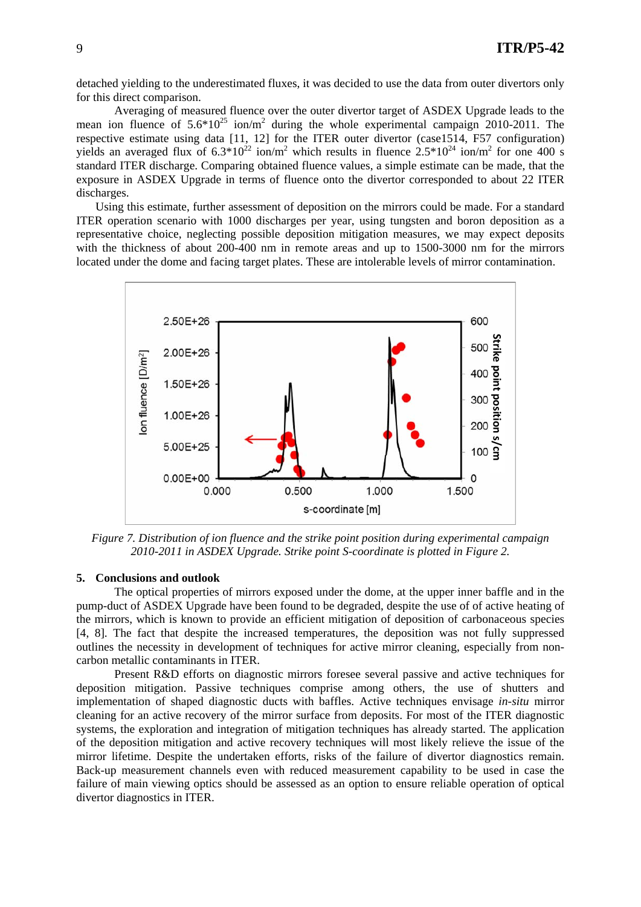detached yielding to the underestimated fluxes, it was decided to use the data from outer divertors only for this direct comparison.

Averaging of measured fluence over the outer divertor target of ASDEX Upgrade leads to the mean ion fluence of  $5.6*10^{25}$  ion/m<sup>2</sup> during the whole experimental campaign 2010-2011. The respective estimate using data [11, 12] for the ITER outer divertor (case1514, F57 configuration) yields an averaged flux of  $6.3*10^{22}$  ion/m<sup>2</sup> which results in fluence  $2.5*10^{24}$  ion/m<sup>2</sup> for one 400 s standard ITER discharge. Comparing obtained fluence values, a simple estimate can be made, that the exposure in ASDEX Upgrade in terms of fluence onto the divertor corresponded to about 22 ITER discharges.

Using this estimate, further assessment of deposition on the mirrors could be made. For a standard ITER operation scenario with 1000 discharges per year, using tungsten and boron deposition as a representative choice, neglecting possible deposition mitigation measures, we may expect deposits with the thickness of about 200-400 nm in remote areas and up to 1500-3000 nm for the mirrors located under the dome and facing target plates. These are intolerable levels of mirror contamination.



*Figure 7. Distribution of ion fluence and the strike point position during experimental campaign 2010-2011 in ASDEX Upgrade. Strike point S-coordinate is plotted in Figure 2.* 

#### **5. Conclusions and outlook**

The optical properties of mirrors exposed under the dome, at the upper inner baffle and in the pump-duct of ASDEX Upgrade have been found to be degraded, despite the use of of active heating of the mirrors, which is known to provide an efficient mitigation of deposition of carbonaceous species [4, 8]. The fact that despite the increased temperatures, the deposition was not fully suppressed outlines the necessity in development of techniques for active mirror cleaning, especially from noncarbon metallic contaminants in ITER.

Present R&D efforts on diagnostic mirrors foresee several passive and active techniques for deposition mitigation. Passive techniques comprise among others, the use of shutters and implementation of shaped diagnostic ducts with baffles. Active techniques envisage *in-situ* mirror cleaning for an active recovery of the mirror surface from deposits. For most of the ITER diagnostic systems, the exploration and integration of mitigation techniques has already started. The application of the deposition mitigation and active recovery techniques will most likely relieve the issue of the mirror lifetime. Despite the undertaken efforts, risks of the failure of divertor diagnostics remain. Back-up measurement channels even with reduced measurement capability to be used in case the failure of main viewing optics should be assessed as an option to ensure reliable operation of optical divertor diagnostics in ITER.